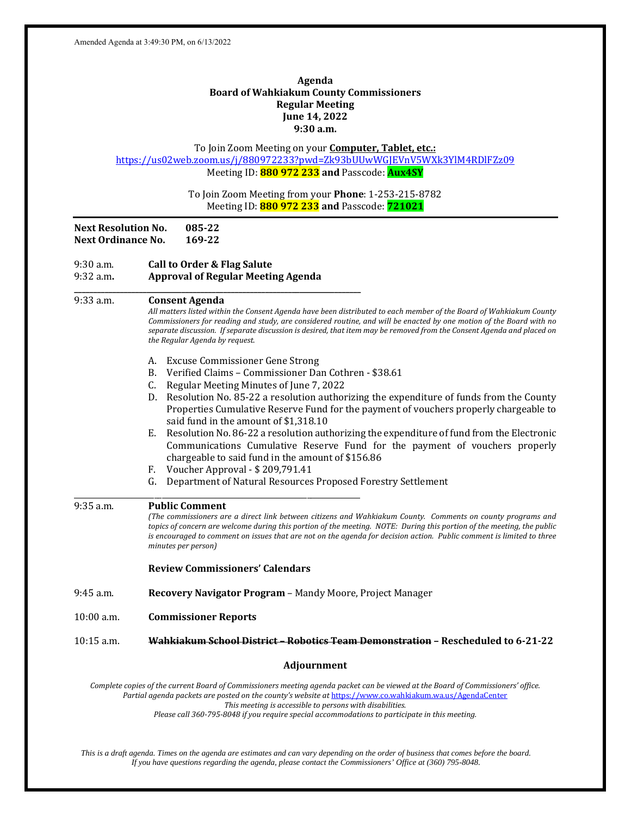#### **Agenda Board of Wahkiakum County Commissioners Regular Meeting June 14, 2022 9:30 a.m.**

To Join Zoom Meeting on your **Computer, Tablet, etc.:** https://us02web.zoom.us/j/880972233?pwd=Zk93bUUwWGJEVnV5WXk3YlM4RDlFZz09 Meeting ID: **880 972 233 and** Passcode: **Aux4SY** To Join Zoom Meeting from your **Phone**: 1-253-215-8782 Meeting ID: **880 972 233 and** Passcode: **721021 Next Resolution No. 085‐22 Next Ordinance No. 169‐22** 9:30 a.m. **Call to Order & Flag Salute** 9:32 a.m**. Approval of Regular Meeting Agenda \_\_\_\_\_\_\_\_\_\_\_\_\_\_\_\_\_\_\_\_\_\_\_\_\_\_\_\_\_\_\_\_\_\_\_\_\_\_\_\_\_\_\_\_\_\_\_\_\_\_\_\_\_\_\_\_\_\_\_\_\_\_\_\_\_\_\_\_\_\_\_\_\_\_\_** 9:33 a.m. **Consent Agenda** All matters listed within the Consent Agenda have been distributed to each member of the Board of Wahkiakum County Commissioners for reading and study, are considered routine, and will be enacted by one motion of the Board with no separate discussion. If separate discussion is desired, that item may be removed from the Consent Agenda and placed on *the Regular Agenda by request.* A. Excuse Commissioner Gene Strong B. Verified Claims – Commissioner Dan Cothren - \$38.61 C. Regular Meeting Minutes of June 7, 2022 D. Resolution No. 85-22 a resolution authorizing the expenditure of funds from the County Properties Cumulative Reserve Fund for the payment of vouchers properly chargeable to said fund in the amount of \$1,318.10 E. Resolution No. 86-22 a resolution authorizing the expenditure of fund from the Electronic Communications Cumulative Reserve Fund for the payment of vouchers properly chargeable to said fund in the amount of \$156.86 F. Voucher Approval - \$ 209,791.41 G. Department of Natural Resources Proposed Forestry Settlement \_\_\_\_\_\_\_\_\_\_\_\_\_\_\_\_\_\_\_\_\_\_\_\_\_\_\_\_\_\_\_\_\_\_\_\_\_\_\_\_\_\_\_\_\_\_\_\_\_\_\_\_\_\_\_\_\_\_\_\_\_\_\_\_\_\_\_\_\_\_\_\_\_\_\_ 9:35 a.m. **Public Comment** (The commissioners are a direct link between citizens and Wahkiakum County. Comments on county programs and topics of concern are welcome during this portion of the meeting. NOTE: During this portion of the meeting, the public is encouraged to comment on issues that are not on the agenda for decision action. Public comment is limited to three *minutes per person)* **Review Commissioners' Calendars** 9:45 a.m. **Recovery Navigator Program** – Mandy Moore, Project Manager 10:00 a.m. **Commissioner Reports** 10:15 a.m. **Wahkiakum School District – Robotics Team Demonstration – Rescheduled to 6‐21‐22 Adjournment** Complete copies of the current Board of Commissioners meeting agenda packet can be viewed at the Board of Commissioners' office. *Partial agenda packets are posted on the county's website at* https://www.co.wahkiakum.wa.us/AgendaCenter *This meeting is accessible to persons with disabilities. Please call 360‐795‐8048 if you require special accommodations to participate in this meeting.* 

*This is a draft agenda. Times on the agenda are estimates and can vary depending on the order of business that comes before the board. If you have questions regarding the agenda, please contact the Commissioners' Office at (360) 795-8048.*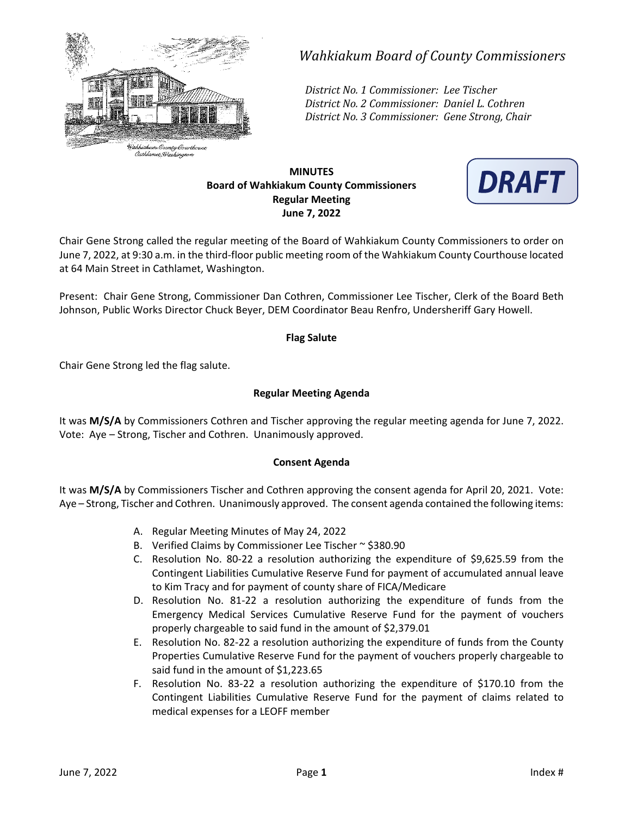

# *Wahkiakum Board of County Commissioners*

*District No. 1 Commissioner: Lee Tischer District No. 2 Commissioner: Daniel L. Cothren District No. 3 Commissioner: Gene Strong, Chair*

## **MINUTES Board of Wahkiakum County Commissioners Regular Meeting June 7, 2022**



Chair Gene Strong called the regular meeting of the Board of Wahkiakum County Commissioners to order on June 7, 2022, at 9:30 a.m. in the third‐floor public meeting room of the Wahkiakum County Courthouse located at 64 Main Street in Cathlamet, Washington.

Present: Chair Gene Strong, Commissioner Dan Cothren, Commissioner Lee Tischer, Clerk of the Board Beth Johnson, Public Works Director Chuck Beyer, DEM Coordinator Beau Renfro, Undersheriff Gary Howell.

## **Flag Salute**

Chair Gene Strong led the flag salute.

## **Regular Meeting Agenda**

It was **M/S/A** by Commissioners Cothren and Tischer approving the regular meeting agenda for June 7, 2022. Vote: Aye – Strong, Tischer and Cothren. Unanimously approved.

#### **Consent Agenda**

It was **M/S/A** by Commissioners Tischer and Cothren approving the consent agenda for April 20, 2021. Vote: Aye – Strong, Tischer and Cothren. Unanimously approved. The consent agenda contained the following items:

- A. Regular Meeting Minutes of May 24, 2022
- B. Verified Claims by Commissioner Lee Tischer ~ \$380.90
- C. Resolution No. 80‐22 a resolution authorizing the expenditure of \$9,625.59 from the Contingent Liabilities Cumulative Reserve Fund for payment of accumulated annual leave to Kim Tracy and for payment of county share of FICA/Medicare
- D. Resolution No. 81-22 a resolution authorizing the expenditure of funds from the Emergency Medical Services Cumulative Reserve Fund for the payment of vouchers properly chargeable to said fund in the amount of \$2,379.01
- E. Resolution No. 82‐22 a resolution authorizing the expenditure of funds from the County Properties Cumulative Reserve Fund for the payment of vouchers properly chargeable to said fund in the amount of \$1,223.65
- F. Resolution No. 83-22 a resolution authorizing the expenditure of \$170.10 from the Contingent Liabilities Cumulative Reserve Fund for the payment of claims related to medical expenses for a LEOFF member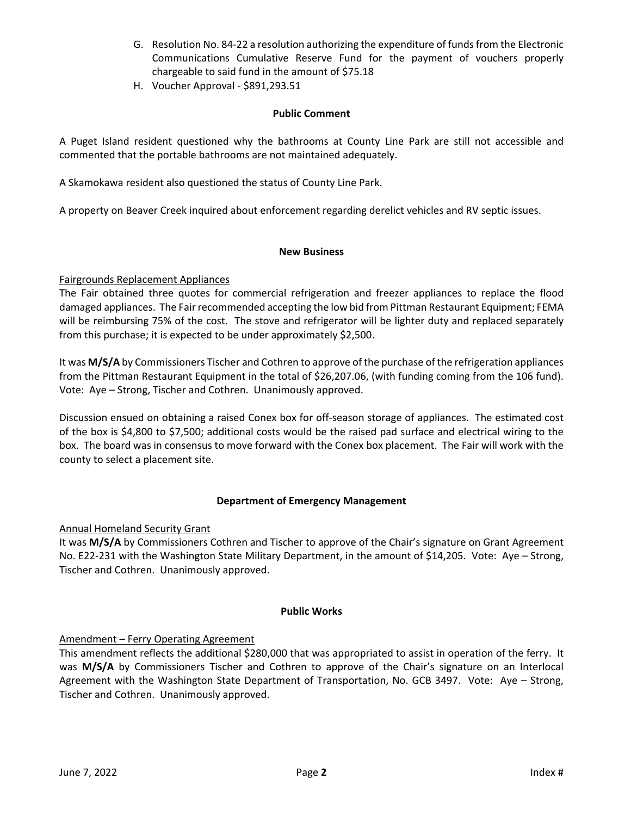- G. Resolution No. 84‐22 a resolution authorizing the expenditure of funds from the Electronic Communications Cumulative Reserve Fund for the payment of vouchers properly chargeable to said fund in the amount of \$75.18
- H. Voucher Approval ‐ \$891,293.51

### **Public Comment**

A Puget Island resident questioned why the bathrooms at County Line Park are still not accessible and commented that the portable bathrooms are not maintained adequately.

A Skamokawa resident also questioned the status of County Line Park.

A property on Beaver Creek inquired about enforcement regarding derelict vehicles and RV septic issues.

#### **New Business**

#### Fairgrounds Replacement Appliances

The Fair obtained three quotes for commercial refrigeration and freezer appliances to replace the flood damaged appliances. The Fair recommended accepting the low bid from Pittman Restaurant Equipment; FEMA will be reimbursing 75% of the cost. The stove and refrigerator will be lighter duty and replaced separately from this purchase; it is expected to be under approximately \$2,500.

It was **M/S/A** by Commissioners Tischer and Cothren to approve of the purchase of the refrigeration appliances from the Pittman Restaurant Equipment in the total of \$26,207.06, (with funding coming from the 106 fund). Vote: Aye – Strong, Tischer and Cothren. Unanimously approved.

Discussion ensued on obtaining a raised Conex box for off‐season storage of appliances. The estimated cost of the box is \$4,800 to \$7,500; additional costs would be the raised pad surface and electrical wiring to the box. The board was in consensus to move forward with the Conex box placement. The Fair will work with the county to select a placement site.

#### **Department of Emergency Management**

#### Annual Homeland Security Grant

It was **M/S/A** by Commissioners Cothren and Tischer to approve of the Chair's signature on Grant Agreement No. E22‐231 with the Washington State Military Department, in the amount of \$14,205. Vote: Aye – Strong, Tischer and Cothren. Unanimously approved.

#### **Public Works**

#### Amendment – Ferry Operating Agreement

This amendment reflects the additional \$280,000 that was appropriated to assist in operation of the ferry. It was M/S/A by Commissioners Tischer and Cothren to approve of the Chair's signature on an Interlocal Agreement with the Washington State Department of Transportation, No. GCB 3497. Vote: Aye – Strong, Tischer and Cothren. Unanimously approved.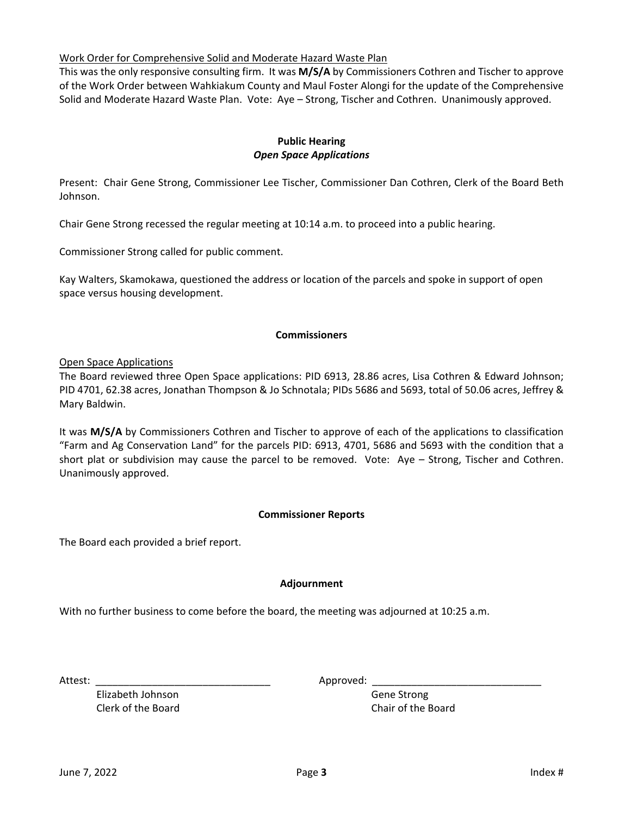#### Work Order for Comprehensive Solid and Moderate Hazard Waste Plan

This was the only responsive consulting firm. It was **M/S/A** by Commissioners Cothren and Tischer to approve of the Work Order between Wahkiakum County and Maul Foster Alongi for the update of the Comprehensive Solid and Moderate Hazard Waste Plan. Vote: Aye – Strong, Tischer and Cothren. Unanimously approved.

## **Public Hearing**  *Open Space Applications*

Present: Chair Gene Strong, Commissioner Lee Tischer, Commissioner Dan Cothren, Clerk of the Board Beth Johnson.

Chair Gene Strong recessed the regular meeting at 10:14 a.m. to proceed into a public hearing.

Commissioner Strong called for public comment.

Kay Walters, Skamokawa, questioned the address or location of the parcels and spoke in support of open space versus housing development.

#### **Commissioners**

Open Space Applications

The Board reviewed three Open Space applications: PID 6913, 28.86 acres, Lisa Cothren & Edward Johnson; PID 4701, 62.38 acres, Jonathan Thompson & Jo Schnotala; PIDs 5686 and 5693, total of 50.06 acres, Jeffrey & Mary Baldwin.

It was **M/S/A** by Commissioners Cothren and Tischer to approve of each of the applications to classification "Farm and Ag Conservation Land" for the parcels PID: 6913, 4701, 5686 and 5693 with the condition that a short plat or subdivision may cause the parcel to be removed. Vote:  $Aye - Strong$ , Tischer and Cothren. Unanimously approved.

#### **Commissioner Reports**

The Board each provided a brief report.

#### **Adjournment**

With no further business to come before the board, the meeting was adjourned at 10:25 a.m.

 Elizabeth Johnson Gene Strong Clerk of the Board Chair of the Board

Attest: \_\_\_\_\_\_\_\_\_\_\_\_\_\_\_\_\_\_\_\_\_\_\_\_\_\_\_\_\_\_\_ Approved: \_\_\_\_\_\_\_\_\_\_\_\_\_\_\_\_\_\_\_\_\_\_\_\_\_\_\_\_\_\_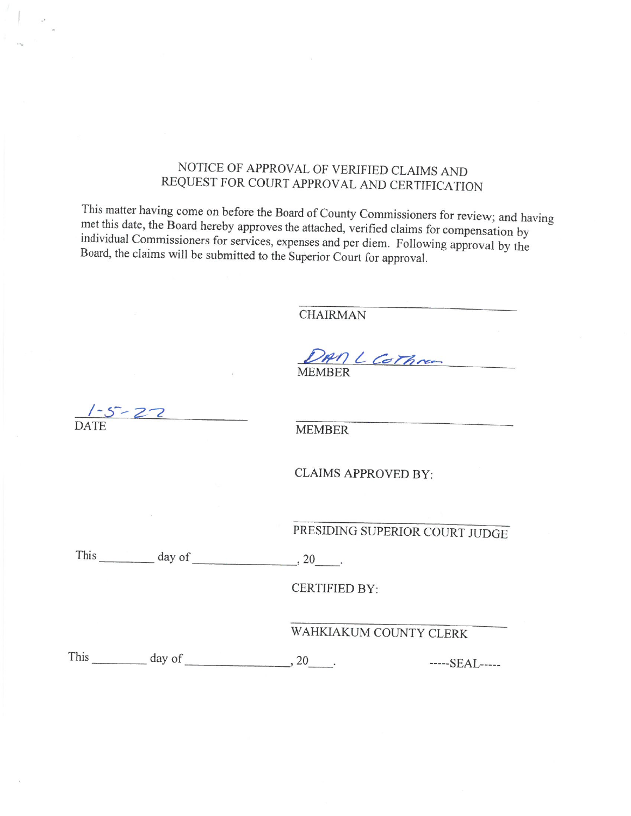## NOTICE OF APPROVAL OF VERIFIED CLAIMS AND REQUEST FOR COURT APPROVAL AND CERTIFICATION

This matter having come on before the Board of County Commissioners for review; and having met this date, the Board hereby approves the attached, verified claims for compensation by individual Commissioners for services, expenses and per diem. Following approval by the Board, the claims will be submitted to the Superior Court for approval.

**CHAIRMAN** 

DAM L Cothra **MEMBER** 

 $5 - 27$ 

**MEMBER** 

**CLAIMS APPROVED BY:** 

PRESIDING SUPERIOR COURT JUDGE

This  $\_\_\_\_\_\_\$  day of  $\_\_\_\_\_\_\_\_\_\$ 

**CERTIFIED BY:** 

WAHKIAKUM COUNTY CLERK

This  $\_\_\_\_\_\_\$  day of  $\_\_\_\_\_\_\_\_\_\_\_\.\$ -----SEAL-----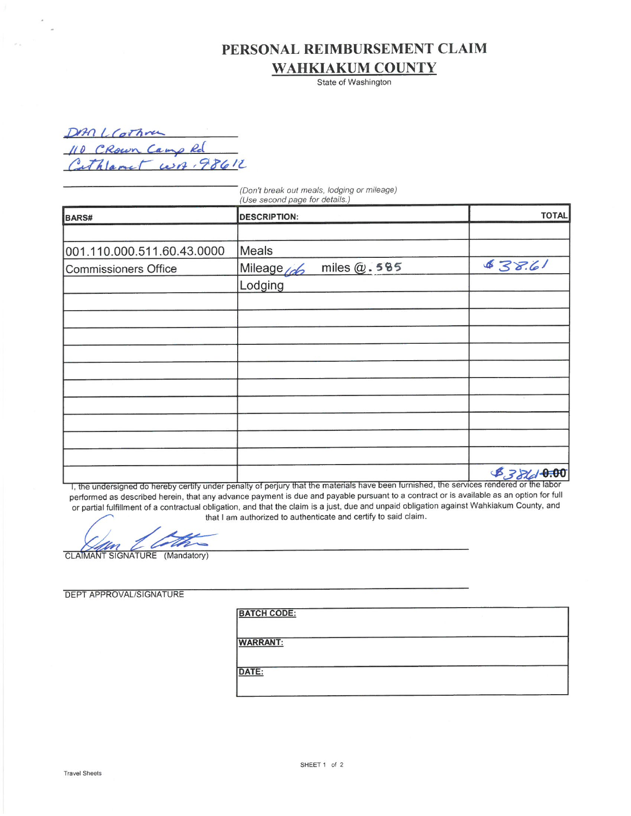# PERSONAL REIMBURSEMENT CLAIM **WAHKIAKUM COUNTY**

State of Washington

DAN LCothra<br>110 CRown Camp Rd<br>Cathlamet WB 98612

|                             | (Don't break out meals, lodging or mileage)<br>(Use second page for details.) |              |  |  |  |
|-----------------------------|-------------------------------------------------------------------------------|--------------|--|--|--|
| BARS#                       | <b>DESCRIPTION:</b>                                                           | <b>TOTAL</b> |  |  |  |
|                             |                                                                               |              |  |  |  |
| 001.110.000.511.60.43.0000  | Meals                                                                         |              |  |  |  |
| <b>Commissioners Office</b> | miles $@.585$<br>Mileage (do                                                  | 838.61       |  |  |  |
|                             | Lodging                                                                       |              |  |  |  |
|                             |                                                                               |              |  |  |  |
|                             |                                                                               |              |  |  |  |
|                             |                                                                               |              |  |  |  |
|                             |                                                                               |              |  |  |  |
|                             |                                                                               |              |  |  |  |
|                             |                                                                               |              |  |  |  |
|                             |                                                                               |              |  |  |  |
|                             |                                                                               |              |  |  |  |
|                             |                                                                               |              |  |  |  |
|                             |                                                                               |              |  |  |  |
|                             |                                                                               | 8386000      |  |  |  |

I, the undersigned do hereby certify under penalty of perjury that the materials have been furnished, the services rendered or the labor performed as described herein, that any advance payment is due and payable pursuant to a contract or is available as an option for full or partial fulfillment of a contractual obligation, and that the claim is a just, due and unpaid obligation against Wahkiakum County, and that I am authorized to authenticate and certify to said claim.

╱

CLAIMANT SIGNATURE (Mandatory)

| <b>BATCH CODE:</b> |                 |
|--------------------|-----------------|
|                    |                 |
|                    |                 |
| DATE:              |                 |
|                    |                 |
|                    | <b>WARRANT:</b> |